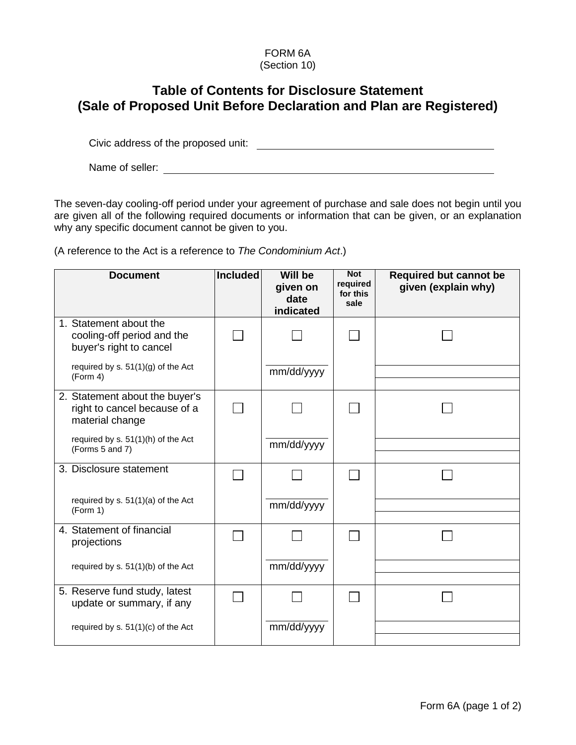## FORM 6A (Section 10)

## **Table of Contents for Disclosure Statement (Sale of Proposed Unit Before Declaration and Plan are Registered)**

Civic address of the proposed unit:

Name of seller:

The seven-day cooling-off period under your agreement of purchase and sale does not begin until you are given all of the following required documents or information that can be given, or an explanation why any specific document cannot be given to you.

(A reference to the Act is a reference to *The Condominium Act*.)

| <b>Document</b>                                                                   | <b>Included</b> | <b>Will be</b><br>given on<br>date<br>indicated | <b>Not</b><br>required<br>for this<br>sale | <b>Required but cannot be</b><br>given (explain why) |
|-----------------------------------------------------------------------------------|-----------------|-------------------------------------------------|--------------------------------------------|------------------------------------------------------|
| 1. Statement about the<br>cooling-off period and the<br>buyer's right to cancel   |                 |                                                 |                                            |                                                      |
| required by s. 51(1)(g) of the Act<br>(Form 4)                                    |                 | mm/dd/yyyy                                      |                                            |                                                      |
| 2. Statement about the buyer's<br>right to cancel because of a<br>material change |                 |                                                 |                                            |                                                      |
| required by s. 51(1)(h) of the Act<br>(Forms 5 and 7)                             |                 | mm/dd/yyyy                                      |                                            |                                                      |
| 3. Disclosure statement                                                           |                 |                                                 |                                            |                                                      |
| required by $s. 51(1)(a)$ of the Act<br>(Form 1)                                  |                 | mm/dd/yyyy                                      |                                            |                                                      |
| 4. Statement of financial<br>projections                                          |                 |                                                 |                                            |                                                      |
| required by s. 51(1)(b) of the Act                                                |                 | mm/dd/yyyy                                      |                                            |                                                      |
| 5. Reserve fund study, latest<br>update or summary, if any                        |                 |                                                 |                                            |                                                      |
| required by s. 51(1)(c) of the Act                                                |                 | mm/dd/yyyy                                      |                                            |                                                      |